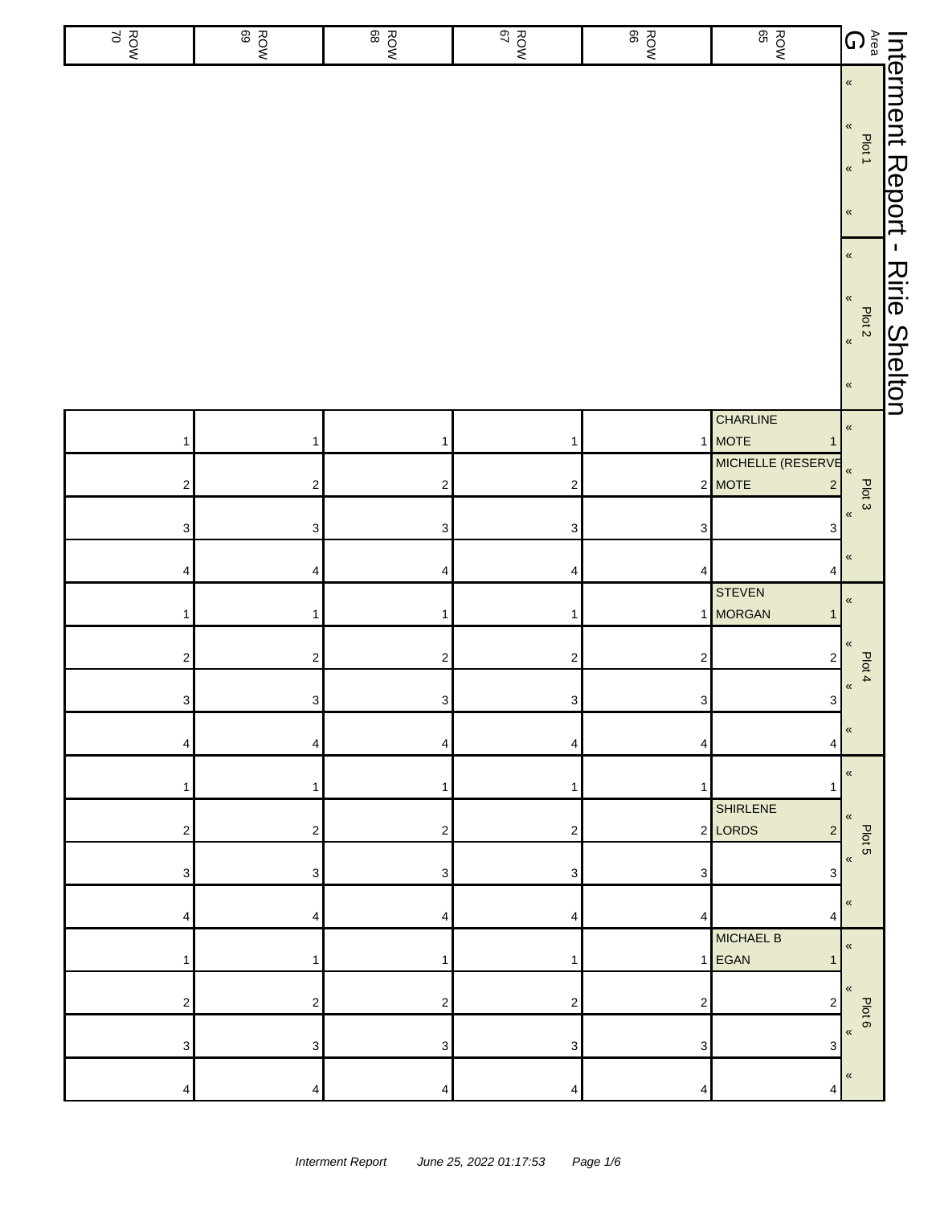| ROW<br>70               | ROW<br>ROW                | ROW<br>ROW              | ROW<br>NOW                | ROW<br>BOW              | ROW<br>BOW                                    |                                                                                           |                                     |
|-------------------------|---------------------------|-------------------------|---------------------------|-------------------------|-----------------------------------------------|-------------------------------------------------------------------------------------------|-------------------------------------|
|                         |                           |                         |                           |                         |                                               |                                                                                           |                                     |
|                         |                           |                         |                           |                         |                                               | $\pmb{\kappa}$<br>$\pmb{\kappa}$<br>Plot <sub>2</sub><br>$\pmb{\alpha}$<br>$\pmb{\kappa}$ | $\mathbf I$<br><b>Ririe Shelton</b> |
| 1                       | $\mathbf{1}$              | 1                       | 1                         |                         | CHARLINE<br>1 MOTE<br>1                       | $\pmb{\kappa}$                                                                            |                                     |
| $\overline{\mathbf{c}}$ | $\boldsymbol{2}$          | 2                       | $\sqrt{2}$                |                         | MICHELLE (RESERVE<br>2 MOTE<br>$\overline{c}$ | $\pmb{\kappa}$                                                                            |                                     |
| 3                       | $\ensuremath{\mathsf{3}}$ | 3                       | $\ensuremath{\mathsf{3}}$ | 3                       | $\mathbf{3}$                                  | Plot 3<br>$\pmb{\kappa}$                                                                  |                                     |
|                         | $\pmb{4}$                 |                         |                           | 4                       |                                               | $\pmb{\kappa}$                                                                            |                                     |
| 4                       |                           | 4                       | 4                         |                         | 4<br><b>STEVEN</b>                            | $\pmb{\mathcal{R}}$                                                                       |                                     |
| 1                       | $\mathbf{1}$              | 1                       | 1                         |                         | 1 MORGAN<br>1                                 | $\pmb{\kappa}$                                                                            |                                     |
| 2                       | $\mathbf 2$               | $\overline{\mathbf{c}}$ | $\boldsymbol{2}$          | $\overline{\mathbf{c}}$ | $\overline{\mathbf{c}}$                       | Plot 4<br>$\pmb{\kappa}$                                                                  |                                     |
| 3 <sup>1</sup>          | 3                         | 3 <sup>1</sup>          | 3                         | 3                       | 3 <sup>1</sup>                                |                                                                                           |                                     |
|                         | 4                         | 4                       | 4                         | 4                       | 4                                             |                                                                                           |                                     |
|                         |                           |                         |                           |                         | <b>SHIRLENE</b>                               | «                                                                                         |                                     |
| 2                       | $\sqrt{2}$                | 2                       | $\overline{c}$            |                         | 2 LORDS<br>$\overline{\mathbf{c}}$            | «<br>Plot 5                                                                               |                                     |
| 3                       | 3                         | 3                       | 3                         | 3                       | 3                                             | $\pmb{\mathcal{R}}$                                                                       |                                     |
|                         | 4                         | 4                       | 4                         | 4                       | 4                                             | «                                                                                         |                                     |
|                         | 1                         |                         | 1                         |                         | <b>MICHAEL B</b><br>1 EGAN<br>1               | $\pmb{\mathcal{R}}$                                                                       |                                     |
| 2                       | $\boldsymbol{2}$          | 2                       | $\overline{\mathbf{c}}$   | $\overline{\mathbf{c}}$ | $\overline{\mathbf{c}}$                       |                                                                                           |                                     |
|                         |                           |                         |                           |                         |                                               | Plot 6<br>K                                                                               |                                     |
| 3                       | 3                         | 3                       | 3                         | 3                       | 3                                             | $\pmb{\kappa}$                                                                            |                                     |
|                         | 4                         | 4                       |                           | $\overline{4}$          | 4                                             |                                                                                           |                                     |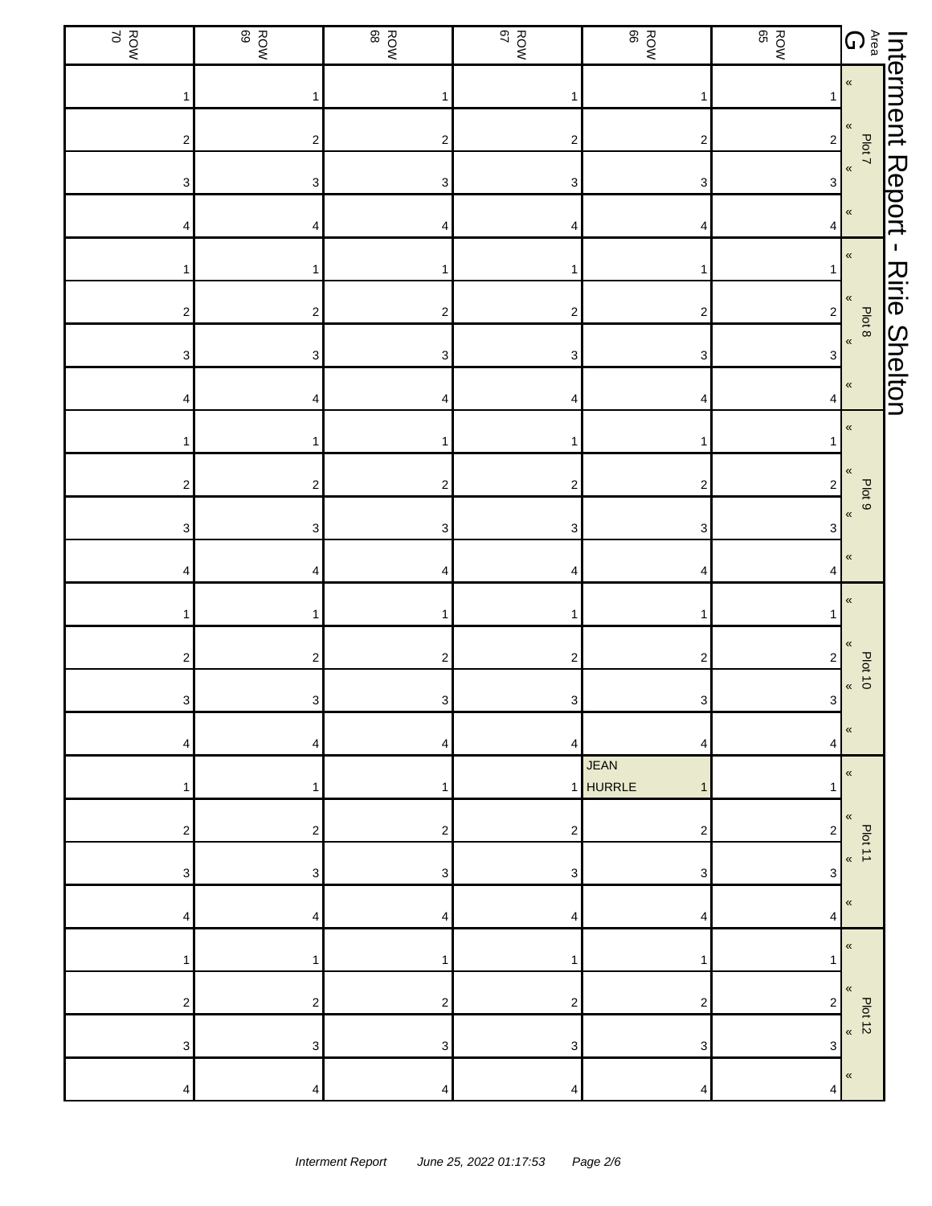| ROW<br>ROW                | ROW<br>BOW                | ROW<br>BOW              | ROW<br>S7                 | ROW<br>BOW                   | ROW<br>BOW              |                                                                                                                                                                          |                      |
|---------------------------|---------------------------|-------------------------|---------------------------|------------------------------|-------------------------|--------------------------------------------------------------------------------------------------------------------------------------------------------------------------|----------------------|
|                           | 1                         | 1                       | 1                         | 1                            |                         | $\begin{tabular}{c c c} \hline \textbf{Interment} & \textbf{I} \\ \hline \textbf{A} & \textbf{B} \\ \textbf{B} & \textbf{B} \\ \textbf{C} & \textbf{B} \\ \end{tabular}$ |                      |
| $\overline{\mathbf{c}}$   | $\boldsymbol{2}$          | 2                       | $\overline{\mathbf{c}}$   | $\overline{\mathbf{c}}$      | $\overline{2}$          | Plot 7                                                                                                                                                                   |                      |
| 3                         | $\ensuremath{\mathsf{3}}$ | 3                       | 3                         | $\ensuremath{\mathsf{3}}$    | $\mathbf{3}$            | $\pmb{\mathfrak{C}}$                                                                                                                                                     | Report               |
| 4                         | 4                         | 4                       | 4                         | 4                            | 4                       | $\pmb{\mathfrak{C}}$                                                                                                                                                     |                      |
|                           | 1                         | 1                       | $\mathbf{1}$              | 1                            | 1                       | $\pmb{\mathfrak{C}}$                                                                                                                                                     | $\mathbf{I}$         |
| 2                         | $\overline{\mathbf{c}}$   | 2                       | $\overline{\mathbf{c}}$   | $\boldsymbol{2}$             | $2\vert$                | «<br>Plot 8                                                                                                                                                              | <b>Ririe Shelton</b> |
| $\ensuremath{\mathsf{3}}$ | $\ensuremath{\mathsf{3}}$ | 3                       | $\ensuremath{\mathsf{3}}$ | $\ensuremath{\mathsf{3}}$    | 3                       | $\,\,\ll$                                                                                                                                                                |                      |
| 4                         | 4                         | 4                       | 4                         | 4                            | 4                       | «                                                                                                                                                                        |                      |
| 1                         | 1                         | 1                       | 1                         | 1                            |                         | $\pmb{\mathfrak{C}}$                                                                                                                                                     |                      |
| $\overline{\mathbf{c}}$   | $\boldsymbol{2}$          | $\overline{\mathbf{c}}$ | $\overline{\mathbf{c}}$   | $\overline{\mathbf{c}}$      | $\overline{2}$          | «<br>Plot 9                                                                                                                                                              |                      |
| 3                         | $\ensuremath{\mathsf{3}}$ | 3                       | 3                         | 3                            | 3                       | $\pmb{\ll}$                                                                                                                                                              |                      |
| 4                         | 4                         | 4                       | 4                         | 4                            | 4                       | «                                                                                                                                                                        |                      |
|                           | 1                         | 1                       | $\mathbf{1}$              | 1                            |                         | «                                                                                                                                                                        |                      |
| 2                         | $\overline{\mathbf{c}}$   | 2                       | 2                         | $\overline{\mathbf{c}}$      | $\overline{\mathbf{c}}$ | «<br><b>Plot 10</b>                                                                                                                                                      |                      |
| $\mathbf{3}$              | 3                         | $3\vert$                | $\ensuremath{\mathsf{3}}$ | $\ensuremath{\mathsf{3}}$    | 3                       | $\pmb{\mathfrak{C}}$                                                                                                                                                     |                      |
| 4                         | 4                         | 4                       | 4                         | 4                            | 4                       | $\pmb{\kappa}$                                                                                                                                                           |                      |
|                           |                           | 1                       |                           | <b>JEAN</b><br>1 HURRLE<br>1 | 1                       | $\pmb{\kappa}$                                                                                                                                                           |                      |
| 2                         | 2                         | 2                       | $\overline{\mathbf{c}}$   | $\overline{2}$               | $\overline{\mathbf{c}}$ | $\langle \langle$<br>Plot 11                                                                                                                                             |                      |
| 3                         | 3                         | 3                       | 3                         | 3                            | 3                       | $\pmb{\mathcal{R}}$                                                                                                                                                      |                      |
| 4                         | 4                         | 4                       | 4                         | 4                            | 4                       | «                                                                                                                                                                        |                      |
| 1                         | 1                         | 1                       | $\mathbf{1}$              | 1                            | 1                       | $\pmb{\mathfrak{C}}$                                                                                                                                                     |                      |
| $\overline{c}$            | $\overline{\mathbf{c}}$   | 2                       | 2                         | $\overline{2}$               | 2                       | «<br><b>Plot 12</b>                                                                                                                                                      |                      |
| 3                         | 3                         | 3                       | 3                         | 3                            | 3                       | $\pmb{\mathsf{M}}$                                                                                                                                                       |                      |
| 4                         | 4                         | 4                       | 4                         | 4                            | 4                       | «                                                                                                                                                                        |                      |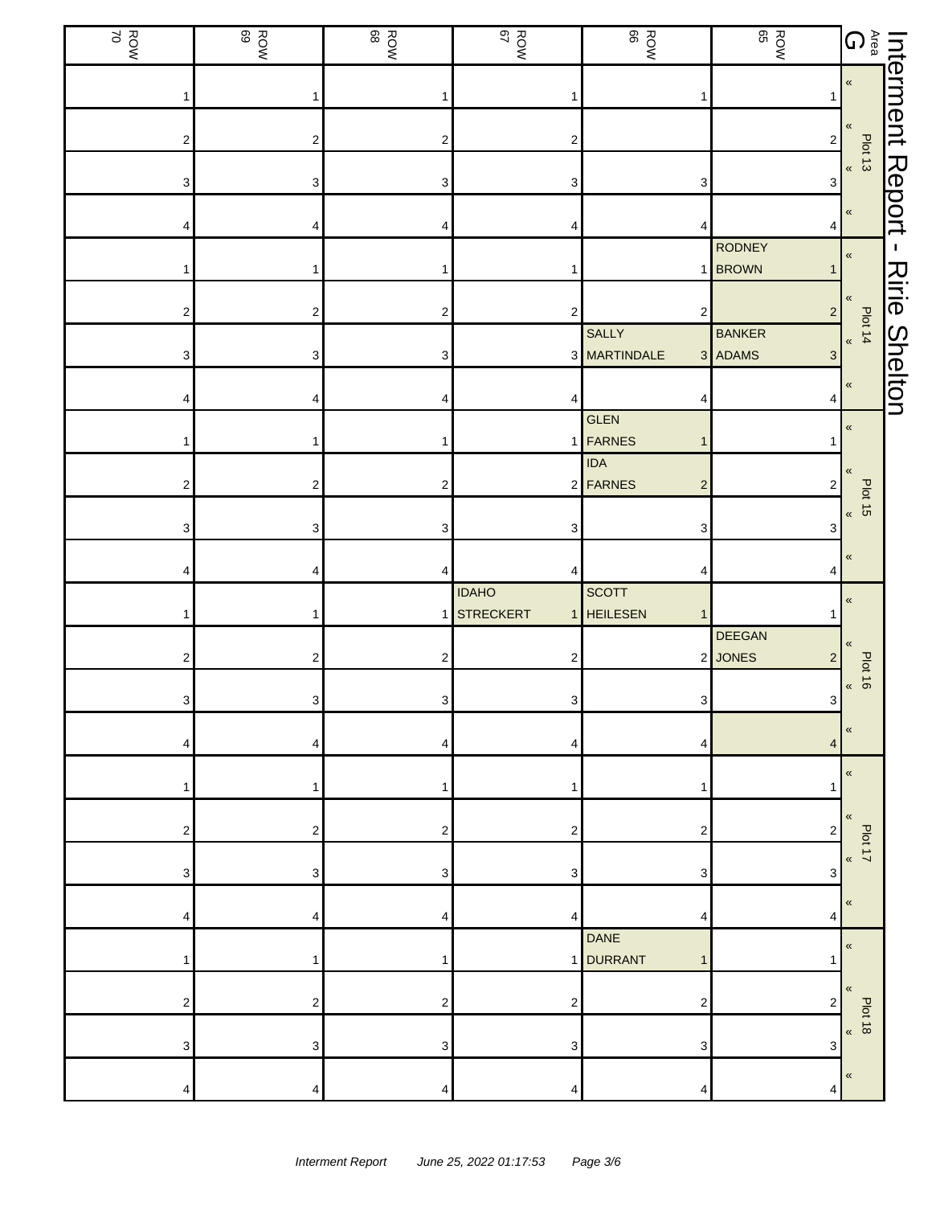| ROW<br>ROW | ROW<br>ROW              | ROW<br>ROW     | ROW<br>NOW                       | ROW<br>ROW                               | ROW<br>BOW                                 |                                                                                 |                      |
|------------|-------------------------|----------------|----------------------------------|------------------------------------------|--------------------------------------------|---------------------------------------------------------------------------------|----------------------|
|            | 1                       |                |                                  |                                          |                                            | <b>Interment</b><br><b>Agerment</b><br><b>C</b><br><br><b>C</b><br><br><b>C</b> |                      |
| 2          | $\overline{\mathbf{c}}$ | 2              | 2                                |                                          | $\overline{2}$                             | <b>Plot 13</b>                                                                  |                      |
| 3          | 3                       | 3              | 3                                | 3                                        | 3                                          | $\pmb{\mathfrak{C}}$                                                            |                      |
|            | 4                       | 4              |                                  | 4                                        | 4                                          | $\pmb{\ll}$                                                                     | Report               |
|            |                         |                |                                  | 1                                        | <b>RODNEY</b><br><b>BROWN</b><br>1         | «                                                                               | L.                   |
| 2          | 2                       | 2              | 2                                | 2                                        | $2\vert$                                   | «<br>Plot 14                                                                    | <b>Ririe Shelton</b> |
| 3          | 3                       | 3              |                                  | SALLY<br>3 MARTINDALE                    | <b>BANKER</b><br>3 ADAMS<br>$\mathbf{3}$   | $\pmb{\mathfrak{C}}$                                                            |                      |
|            |                         |                |                                  |                                          | 4                                          | «                                                                               |                      |
|            |                         |                |                                  | GLEN<br>1 FARNES<br>1                    |                                            | $\pmb{\kappa}$                                                                  |                      |
| 2          | $\overline{\mathbf{c}}$ | 2              |                                  | <b>IDA</b><br>2 FARNES<br>$\overline{c}$ | 2                                          |                                                                                 |                      |
| 3          | 3                       | 3              | 3                                | 3                                        | 3                                          | <b>Plot 15</b><br>$\pmb{\kappa}$                                                |                      |
|            | 4                       |                |                                  |                                          |                                            | $\ll$                                                                           |                      |
|            |                         |                | <b>IDAHO</b><br><b>STRECKERT</b> | SCOTT<br>1 HEILESEN<br>1                 |                                            | «                                                                               |                      |
| 2          | 2                       | 2              | 2                                |                                          | <b>DEEGAN</b><br>2 JONES<br>$\overline{c}$ | «<br>Plot 16                                                                    |                      |
| 3          | 3                       | 3 <sup>1</sup> | 3                                | 3                                        | 3 <sup>1</sup>                             | $\pmb{\mathcal{R}}$                                                             |                      |
|            | 4                       | 4              | 4                                | 4                                        | $\overline{4}$                             |                                                                                 |                      |
|            |                         |                |                                  |                                          |                                            | «                                                                               |                      |
| 2          | $\overline{\mathbf{c}}$ | 2              | 2                                | $\overline{2}$                           | $\overline{c}$                             | $\ll$<br>Plot 17                                                                |                      |
| 3          | 3                       | 3              | 3                                | 3                                        | 3                                          | $\pmb{\kappa}$                                                                  |                      |
|            | 4                       |                | 4                                | 4                                        | 4                                          | $\ll$                                                                           |                      |
|            |                         |                | 11                               | <b>DANE</b><br><b>DURRANT</b><br>1       |                                            | «                                                                               |                      |
| 2          | $\overline{\mathbf{c}}$ | 2              | 2                                | $\overline{2}$                           | 2                                          | $\langle \langle$<br><b>Plot 18</b>                                             |                      |
| 3          | 3                       | 3              | 3                                | 3                                        | 3                                          | $\pmb{\kappa}$                                                                  |                      |
|            | 4                       | 4              | Δ                                | Δ                                        | 4                                          | «                                                                               |                      |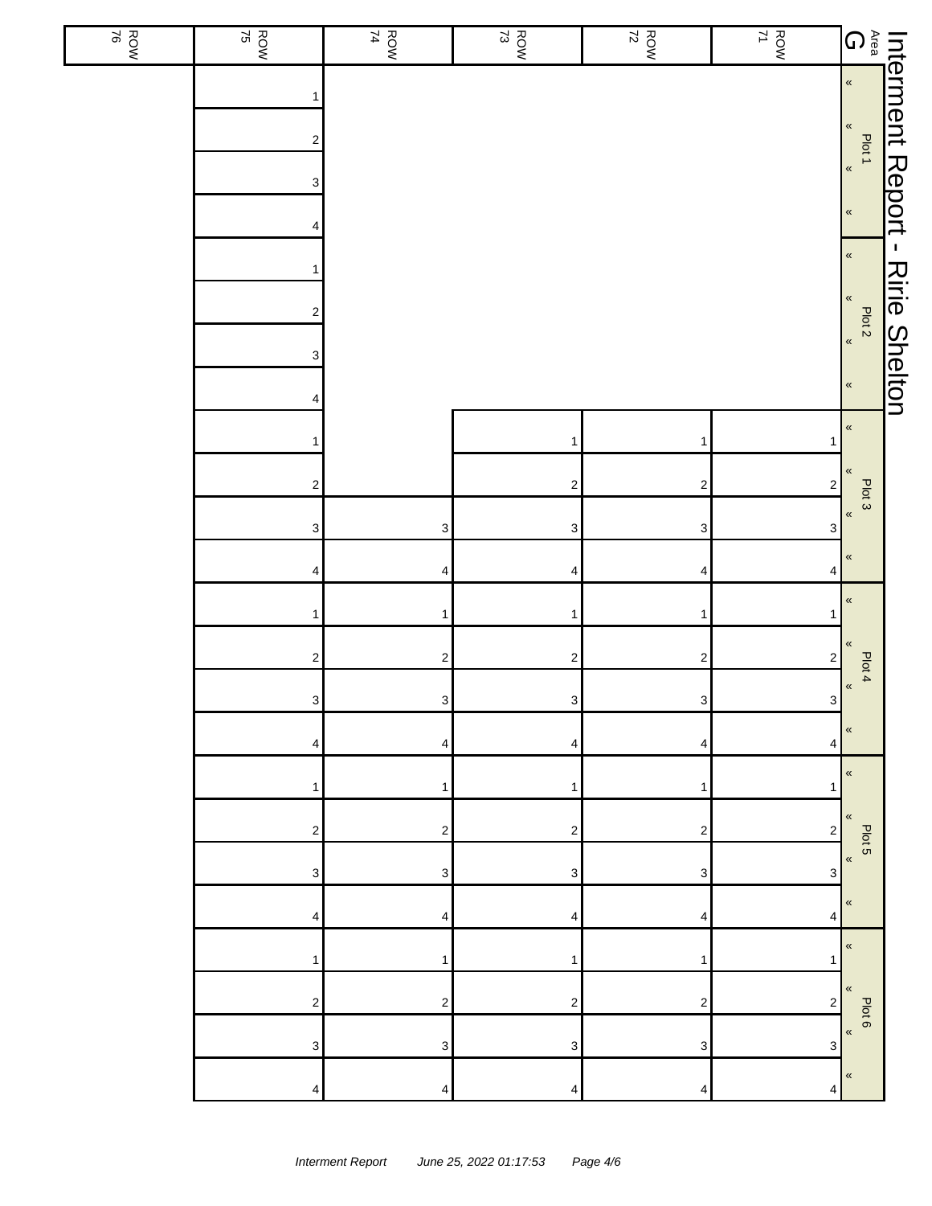| ROW | $\frac{ROW}{75}$                                                          | ROW<br>74                 | $\frac{ROW}{73}$        | $\frac{ROW}{72}$        | ROW<br>71                 |                                                                                         |                      |
|-----|---------------------------------------------------------------------------|---------------------------|-------------------------|-------------------------|---------------------------|-----------------------------------------------------------------------------------------|----------------------|
|     | 1<br>$\boldsymbol{2}$<br>3<br>4<br>1<br>$\overline{\mathbf{c}}$<br>3<br>4 |                           |                         |                         |                           | $\pmb{\kappa}$<br>$\pmb{\kappa}$<br>Plot 2<br>$\overline{\mathbf{R}}$<br>$\pmb{\kappa}$ | <b>Ririe Shelton</b> |
|     | 1                                                                         |                           | 1                       | $\mathbf{1}$            | 1                         | $\pmb{\alpha}$                                                                          |                      |
|     | $\boldsymbol{2}$                                                          |                           | $\overline{\mathbf{c}}$ | $\sqrt{2}$              | $\mathbf 2$               | $\pmb{\kappa}$<br>Plot 3                                                                |                      |
|     | $\ensuremath{\mathsf{3}}$                                                 | $\ensuremath{\mathsf{3}}$ | $\mathsf 3$             | $\mathbf{3}$            | $\ensuremath{\mathsf{3}}$ | $\pmb{\kappa}$                                                                          |                      |
|     | 4                                                                         | 4                         | 4                       | $\overline{\mathbf{4}}$ | 4                         | $\pmb{\kappa}$                                                                          |                      |
|     | $\mathbf{1}$                                                              | $\mathbf{1}$              | 1                       | $\mathbf{1}$            | 1                         | $\pmb{\kappa}$                                                                          |                      |
|     | $\overline{\mathbf{c}}$                                                   | $\sqrt{2}$                | $\overline{\mathbf{c}}$ | $\sqrt{2}$              | $\sqrt{2}$                | $\pmb{\ll}$<br>Plot 4                                                                   |                      |
|     | $\mathbf{3}$                                                              | $\mathbf{3}$              | $\mathbf{3}$            | $\mathbf{3}$            | $\mathbf{3}$              | $\,\,\ll$                                                                               |                      |
|     | 4                                                                         | 4                         | 4                       | 4                       | 4                         | «<br>$\pmb{\ll}$                                                                        |                      |
|     | 1                                                                         | 1                         | 1                       | 1                       | 1                         | «                                                                                       |                      |
|     | 2                                                                         | $\overline{\mathbf{c}}$   | 2                       | $\boldsymbol{2}$        | $\boldsymbol{2}$          | Plot 5<br>$\pmb{\ll}$                                                                   |                      |
|     | 3                                                                         | 3                         | 3                       | 3                       | 3                         | $\pmb{\ll}$                                                                             |                      |
|     | 4                                                                         | 4                         | 4                       | 4                       | 4                         | $\pmb{\kappa}$                                                                          |                      |
|     | 1                                                                         | 1                         | 1                       | 1                       | 1                         | $\pmb{\kappa}$                                                                          |                      |
|     | 2                                                                         | $\overline{\mathbf{c}}$   | 2                       | $\boldsymbol{2}$        | $\overline{\mathbf{c}}$   | Plot 6<br>$\pmb{\langle}$                                                               |                      |
|     | 3                                                                         | 3                         | 3                       | 3                       | $\ensuremath{\mathsf{3}}$ | «                                                                                       |                      |
|     | 4                                                                         | 4                         | 4                       | 4                       | 4                         |                                                                                         |                      |

l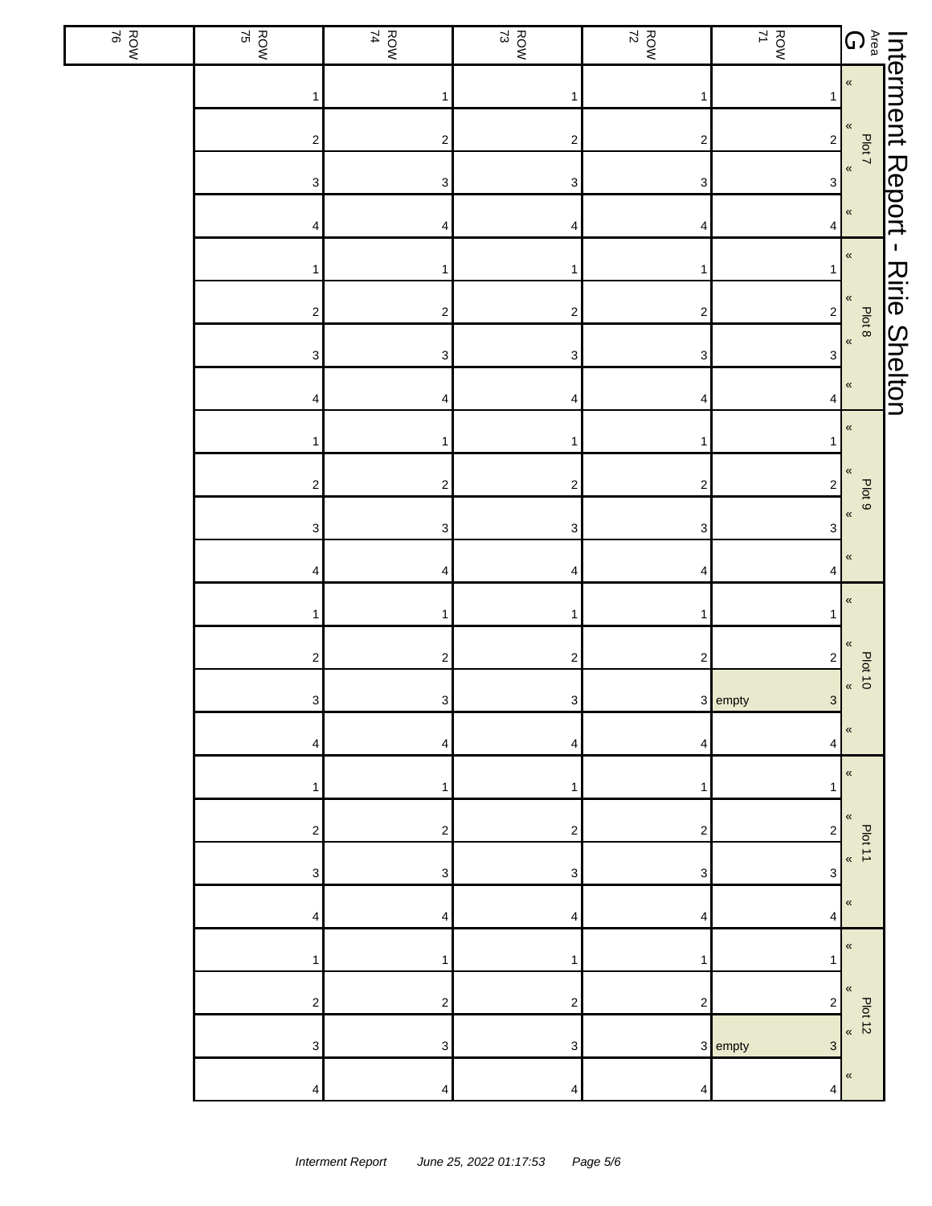| ROW | $\frac{ROW}{75}$          | ROW<br>74                 | $\frac{ROW}{73}$          | $\frac{ROW}{72}$          | ROW<br>71                            |                                          |                      |
|-----|---------------------------|---------------------------|---------------------------|---------------------------|--------------------------------------|------------------------------------------|----------------------|
|     | $\mathbf{1}$              | 1                         | 1                         | $\mathbf{1}$              |                                      | Interment Report -<br>Area Plotz - Allen |                      |
|     | $\sqrt{2}$                | $\mathbf 2$               | $\sqrt{2}$                | $\boldsymbol{2}$          | $\mathbf{2}$                         |                                          |                      |
|     | $\ensuremath{\mathsf{3}}$ | $\ensuremath{\mathsf{3}}$ | $\ensuremath{\mathsf{3}}$ | $\ensuremath{\mathsf{3}}$ | $\sqrt{3}$                           |                                          |                      |
|     | 4                         | 4                         | 4                         | 4                         | 4                                    |                                          |                      |
|     | 1                         | 1                         | 1                         | 1                         |                                      | $\pmb{\kappa}$                           |                      |
|     | $\sqrt{2}$                | $\overline{\mathbf{c}}$   | $\boldsymbol{2}$          | $\sqrt{2}$                | $\mathbf{2}$                         | «<br>Plot 8                              | <b>Ririe Shelton</b> |
|     | $\ensuremath{\mathsf{3}}$ | $\ensuremath{\mathsf{3}}$ | $\ensuremath{\mathsf{3}}$ | $\ensuremath{\mathsf{3}}$ | $\ensuremath{\mathsf{3}}$            | $\pmb{\kappa}$                           |                      |
|     | 4                         | 4                         | 4                         | 4                         | 4                                    | $\pmb{\ll}$                              |                      |
|     | 1                         | 1                         | 1                         | 1                         |                                      | $\pmb{\kappa}$                           |                      |
|     | $\sqrt{2}$                | $\overline{\mathbf{c}}$   | $\sqrt{2}$                | $\sqrt{2}$                | $\mathbf{2}$                         |                                          |                      |
|     | $\ensuremath{\mathsf{3}}$ | $\ensuremath{\mathsf{3}}$ | $\ensuremath{\mathsf{3}}$ | $\ensuremath{\mathsf{3}}$ | 3                                    | Plot 9<br>$\langle$                      |                      |
|     | 4                         | 4                         | 4                         | 4                         | 4                                    | «                                        |                      |
|     | $\mathbf{1}$              | $\mathbf{1}$              | 1                         | 1                         |                                      | «                                        |                      |
|     | $\sqrt{2}$                | $\overline{\mathbf{c}}$   | $\boldsymbol{2}$          | $\sqrt{2}$                | $\overline{\mathbf{c}}$              |                                          |                      |
|     | $\mathbf{3}$              | $\ensuremath{\mathsf{3}}$ | 3 <sup>1</sup>            |                           | 3 empty<br>3 <sup>1</sup>            | <b>Plot 10</b><br>$\pmb{\mathfrak{C}}$   |                      |
|     | 4                         | 4                         | 4                         | 4                         | 4                                    | «                                        |                      |
|     | 1                         | 1                         |                           | 1                         |                                      | $\pmb{\kappa}$                           |                      |
|     | $\overline{\mathbf{c}}$   | 2                         | $\overline{c}$            | 2                         | 2                                    |                                          |                      |
|     | $\ensuremath{\mathsf{3}}$ | 3                         | 3                         | 3                         | 3                                    | Plot 11<br>$\pmb{\langle} \pmb{\langle}$ |                      |
|     | 4                         | 4                         | 4                         | 4                         | 4                                    | $\pmb{\kappa}$                           |                      |
|     | 1                         | 1                         | 1                         | 1                         |                                      | $\pmb{\kappa}$                           |                      |
|     | $\sqrt{2}$                | $\boldsymbol{2}$          | $\overline{c}$            | 2                         | $\overline{2}$                       |                                          |                      |
|     | $\ensuremath{\mathsf{3}}$ | 3                         | $\ensuremath{\mathsf{3}}$ |                           | 3 empty<br>$\ensuremath{\mathsf{3}}$ | <b>Plot 12</b><br>$\ll$                  |                      |
|     | 4                         | 4                         | 4                         | 4                         | 4                                    | «                                        |                      |
|     |                           |                           |                           |                           |                                      |                                          |                      |

Г L